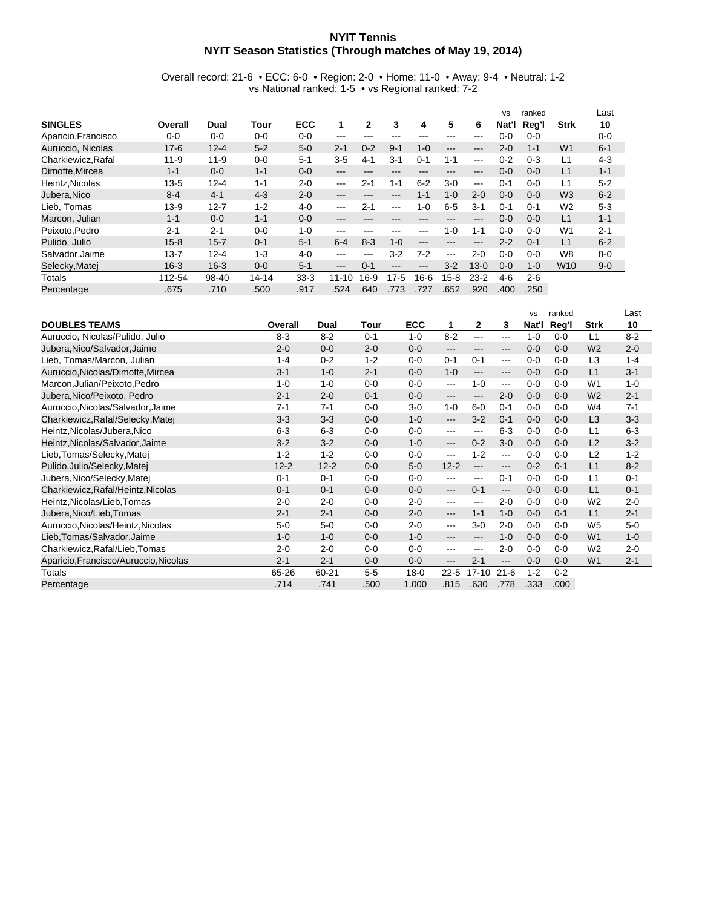## **NYIT Tennis NYIT Season Statistics (Through matches of May 19, 2014)**

Overall record: 21-6 • ECC: 6-0 • Region: 2-0 • Home: 11-0 • Away: 9-4 • Neutral: 1-2 vs National ranked: 1-5 • vs Regional ranked: 7-2

|                     |          |          |           |            |         |              |         |         |          |          | <b>VS</b> | ranked  |                 | Last    |
|---------------------|----------|----------|-----------|------------|---------|--------------|---------|---------|----------|----------|-----------|---------|-----------------|---------|
| <b>SINGLES</b>      | Overall  | Dual     | Tour      | <b>ECC</b> |         | $\mathbf{2}$ | 3       | 4       | 5        | 6        | Nat'l     | Reg'l   | <b>Strk</b>     | 10      |
| Aparicio, Francisco | $0 - 0$  | 0-0      | $0-0$     | $0 - 0$    | ---     |              | ---     |         | ---      | ---      | $0 - 0$   | $0 - 0$ |                 | $0 - 0$ |
| Auruccio, Nicolas   | $17 - 6$ | $12 - 4$ | $5 - 2$   | $5-0$      | $2 - 1$ | $0 - 2$      | $9 - 1$ | $1 - 0$ | $---$    | ---      | $2 - 0$   | $1 - 1$ | W <sub>1</sub>  | $6 - 1$ |
| Charkiewicz, Rafal  | $11 - 9$ | $11 - 9$ | $0 - 0$   | $5 - 1$    | $3-5$   | $4 - 1$      | $3 - 1$ | $0 - 1$ | $1 - 1$  | $-- -$   | $0 - 2$   | $0 - 3$ | L1              | $4-3$   |
| Dimofte.Mircea      | $1 - 1$  | $0 - 0$  | $1 - 1$   | $0 - 0$    | ---     | ---          | ---     |         | ---      | ---      | $0 - 0$   | $0 - 0$ | L1              | $1 - 1$ |
| Heintz.Nicolas      | $13 - 5$ | $12 - 4$ | $1 - 1$   | $2 - 0$    | $--$    | $2 - 1$      | $1 - 1$ | $6 - 2$ | $3-0$    | $- - -$  | $0 - 1$   | $0 - 0$ | L1              | $5 - 2$ |
| Jubera, Nico        | $8 - 4$  | $4 - 1$  | $4 - 3$   | $2 - 0$    | ---     | ---          | ---     | $1 - 1$ | $1 - 0$  | $2 - 0$  | $0 - 0$   | $0 - 0$ | W <sub>3</sub>  | $6 - 2$ |
| Lieb. Tomas         | $13-9$   | $12 - 7$ | $1 - 2$   | $4 - 0$    | $--$    | $2 - 1$      | ---     | $1 - 0$ | $6-5$    | $3 - 1$  | $0 - 1$   | $0 - 1$ | W <sub>2</sub>  | $5-3$   |
| Marcon, Julian      | $1 - 1$  | $0 - 0$  | $1 - 1$   | $0 - 0$    | ---     | ---          | ---     |         | ---      | ---      | $0 - 0$   | $0 - 0$ | L1              | $1 - 1$ |
| Peixoto.Pedro       | $2 - 1$  | $2 - 1$  | $0 - 0$   | $1 - 0$    | ---     | ---          | ---     | ---     | $1 - 0$  | $1 - 1$  | $0 - 0$   | $0 - 0$ | W <sub>1</sub>  | $2 - 1$ |
| Pulido, Julio       | $15 - 8$ | $15 - 7$ | $0 - 1$   | $5 - 1$    | $6 - 4$ | $8-3$        | $1 - 0$ | ---     | ---      | ---      | $2 - 2$   | $0 - 1$ | L1              | $6 - 2$ |
| Salvador, Jaime     | $13 - 7$ | $12 - 4$ | $1 - 3$   | $4 - 0$    | ---     | ---          | $3-2$   | $7-2$   | $---$    | $2 - 0$  | $0 - 0$   | $0 - 0$ | W <sub>8</sub>  | $8 - 0$ |
| Selecky, Matei      | $16 - 3$ | $16 - 3$ | $0 - 0$   | $5 - 1$    | ---     | $0 - 1$      | ---     | ---     | $3-2$    | $13 - 0$ | $0 - 0$   | $1 - 0$ | W <sub>10</sub> | $9 - 0$ |
| Totals              | 112-54   | 98-40    | $14 - 14$ | $33-3$     | 11-10   | $16-9$       | $17-5$  | $16-6$  | $15 - 8$ | $23-2$   | 4-6       | $2 - 6$ |                 |         |
| Percentage          | .675     | .710     | .500      | .917       | .524    | .640         | .773    | .727    | .652     | .920     | .400      | .250    |                 |         |

|                                       |          |          |         |            |                        |                        |          | <b>VS</b> | ranked  |                | Last    |
|---------------------------------------|----------|----------|---------|------------|------------------------|------------------------|----------|-----------|---------|----------------|---------|
| <b>DOUBLES TEAMS</b>                  | Overall  | Dual     | Tour    | <b>ECC</b> | 1                      | $\mathbf{2}$           | 3        | Nat'l     | Reg'l   | <b>Strk</b>    | 10      |
| Auruccio, Nicolas/Pulido, Julio       | $8 - 3$  | $8 - 2$  | $0 - 1$ | $1 - 0$    | $8 - 2$                | $\cdots$               | ---      | $1 - 0$   | $0 - 0$ | L1             | $8 - 2$ |
| Jubera, Nico/Salvador, Jaime          | $2 - 0$  | $0 - 0$  | $2 - 0$ | $0 - 0$    | $---$                  | $\qquad \qquad \cdots$ | ---      | $0 - 0$   | $0 - 0$ | W <sub>2</sub> | $2 - 0$ |
| Lieb, Tomas/Marcon, Julian            | $1 - 4$  | $0 - 2$  | $1 - 2$ | $0-0$      | $0 - 1$                | $0 - 1$                | ---      | $0 - 0$   | $0 - 0$ | L3             | $1 - 4$ |
| Auruccio, Nicolas/Dimofte, Mircea     | $3 - 1$  | $1 - 0$  | $2 - 1$ | $0-0$      | $1 - 0$                | $\qquad \qquad \cdots$ | ---      | $0 - 0$   | $0 - 0$ | L1             | $3 - 1$ |
| Marcon, Julian/Peixoto, Pedro         | $1 - 0$  | $1 - 0$  | $0 - 0$ | $0-0$      | $--$                   | $1 - 0$                | ---      | $0-0$     | $0 - 0$ | W <sub>1</sub> | $1 - 0$ |
| Jubera, Nico/Peixoto, Pedro           | $2 - 1$  | $2 - 0$  | $0 - 1$ | $0 - 0$    | $---$                  | $---$                  | $2 - 0$  | $0-0$     | $0 - 0$ | W <sub>2</sub> | $2 - 1$ |
| Auruccio, Nicolas/Salvador, Jaime     | $7 - 1$  | $7 - 1$  | $0 - 0$ | $3-0$      | $1 - 0$                | $6-0$                  | $0 - 1$  | $0-0$     | $0 - 0$ | W4             | $7 - 1$ |
| Charkiewicz, Rafal/Selecky, Matej     | $3 - 3$  | $3 - 3$  | $0 - 0$ | $1 - 0$    | $---$                  | $3 - 2$                | $0 - 1$  | $0-0$     | $0 - 0$ | L <sub>3</sub> | $3 - 3$ |
| Heintz, Nicolas/Jubera, Nico          | $6 - 3$  | $6 - 3$  | $0 - 0$ | $0-0$      | $---$                  | $--$                   | $6 - 3$  | $0-0$     | $0 - 0$ | L1             | $6 - 3$ |
| Heintz, Nicolas/Salvador, Jaime       | $3 - 2$  | $3 - 2$  | $0-0$   | $1 - 0$    | $\qquad \qquad \cdots$ | $0 - 2$                | $3-0$    | $0-0$     | $0 - 0$ | L2             | $3 - 2$ |
| Lieb, Tomas/Selecky, Matej            | $1 - 2$  | $1 - 2$  | $0 - 0$ | $0-0$      | $--$                   | $1 - 2$                | ---      | $0-0$     | $0 - 0$ | L2             | $1 - 2$ |
| Pulido, Julio/Selecky, Matej          | $12 - 2$ | $12 - 2$ | $0 - 0$ | $5-0$      | $12 - 2$               | $---$                  | ---      | $0 - 2$   | $0 - 1$ | L1             | $8 - 2$ |
| Jubera, Nico/Selecky, Matej           | $0 - 1$  | $0 - 1$  | $0 - 0$ | $0-0$      | ---                    | $\cdots$               | $0 - 1$  | $0-0$     | $0-0$   | L1             | $0 - 1$ |
| Charkiewicz, Rafal/Heintz, Nicolas    | $0 - 1$  | $0 - 1$  | $0 - 0$ | $0-0$      | $---$                  | $0 - 1$                | $---$    | $0-0$     | $0 - 0$ | L1             | $0 - 1$ |
| Heintz, Nicolas/Lieb, Tomas           | $2 - 0$  | $2 - 0$  | $0 - 0$ | $2 - 0$    | ---                    | $---$                  | $2 - 0$  | $0 - 0$   | $0 - 0$ | W <sub>2</sub> | $2 - 0$ |
| Jubera, Nico/Lieb, Tomas              | $2 - 1$  | $2 - 1$  | $0 - 0$ | $2 - 0$    | $\qquad \qquad \cdots$ | $1 - 1$                | $1 - 0$  | $0 - 0$   | $0 - 1$ | L1             | $2 - 1$ |
| Auruccio, Nicolas/Heintz, Nicolas     | $5-0$    | $5-0$    | $0-0$   | $2 - 0$    | $--$                   | $3-0$                  | $2 - 0$  | $0-0$     | $0 - 0$ | W <sub>5</sub> | $5-0$   |
| Lieb, Tomas/Salvador, Jaime           | $1 - 0$  | $1 - 0$  | $0 - 0$ | $1 - 0$    | ---                    | ---                    | $1 - 0$  | $0 - 0$   | $0 - 0$ | W <sub>1</sub> | $1 - 0$ |
| Charkiewicz, Rafal/Lieb, Tomas        | $2 - 0$  | $2 - 0$  | $0-0$   | $0-0$      | $--$                   | $---$                  | $2 - 0$  | $0 - 0$   | $0 - 0$ | W <sub>2</sub> | $2 - 0$ |
| Aparicio, Francisco/Auruccio, Nicolas | $2 - 1$  | $2 - 1$  | $0-0$   | $0 - 0$    | ---                    | $2 - 1$                | ---      | $0 - 0$   | $0 - 0$ | W <sub>1</sub> | $2 - 1$ |
| Totals                                | 65-26    | 60-21    | $5-5$   | $18 - 0$   | $22 - 5$               | $17 - 10$              | $21 - 6$ | $1 - 2$   | $0 - 2$ |                |         |
| Percentage                            | .714     | .741     | .500    | 1.000      | .815                   | .630                   | .778     | .333      | .000    |                |         |